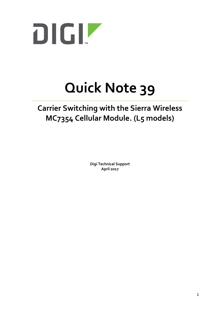

# **Quick Note 39**

## **Carrier Switching with the Sierra Wireless MC7354 Cellular Module. (L5 models)**

**Digi Technical Support April 2017**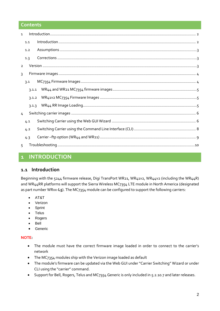#### **Contents**

| $\mathbf{1}$   |       |  |
|----------------|-------|--|
|                | 1.1   |  |
|                | 1.2   |  |
|                | 1.3   |  |
| $\overline{2}$ |       |  |
| $\mathbf{R}$   |       |  |
|                | 3.1   |  |
|                | 3.1.1 |  |
|                | 3.1.2 |  |
|                | 3.1.3 |  |
| $\overline{4}$ |       |  |
|                | 4.1   |  |
|                | 4.2   |  |
|                | 4.3   |  |
| $\sqrt{2}$     |       |  |

## <span id="page-1-0"></span>**1 INTRODUCTION**

#### <span id="page-1-1"></span>**1.1 Introduction**

Beginning with the 5244 firmware release, Digi TransPort WR21, WR41v2, WR44v2 (including the WR44R) and WR44RR platforms will support the Sierra Wireless MC7354 LTE module in North America (designated as part number WRxx-**L5**). The MC7354 module can be configured to support the following carriers:

- AT&T
- Verizon
- Sprint
- **Telus**
- Rogers
- Bell
- **•** Generic

#### **NOTE:**

- The module must have the correct firmware image loaded in order to connect to the carrier's network
- The MC7354 modules ship with the Verizon image loaded as default
- The module's firmware can be updated via the Web GUI under "Carrier Switching" Wizard or under CLI using the "carrier" command.
- Support for Bell, Rogers, Telus and MC7354 Generic is only included in 5.2.10.7 and later releases.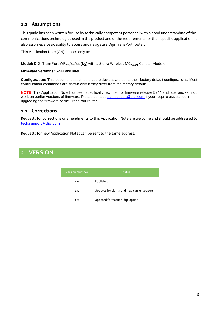#### <span id="page-2-0"></span>**1.2 Assumptions**

This guide has been written for use by technically competent personnel with a good understanding of the communications technologies used in the product and of the requirements for their specific application. It also assumes a basic ability to access and navigate a Digi TransPort router.

This Application Note (AN) applies only to:

**Model:** DIGI TransPort WR21/41/44 (**L5**) with a Sierra Wireless MC7354 Cellular Module

**Firmware versions:** 5244 and later

**Configuration:** This document assumes that the devices are set to their factory default configurations. Most configuration commands are shown only if they differ from the factory default.

**NOTE:** This Application Note has been specifically rewritten for firmware release 5244 and later and will not work on earlier versions of firmware. Please contact [tech.support@digi.com](mailto:tech.support@digi.com) if your require assistance in upgrading the firmware of the TransPort router.

#### <span id="page-2-1"></span>**1.3 Corrections**

Requests for corrections or amendments to this Application Note are welcome and should be addressed to: [tech.support@digi.com](mailto:tech.support@digi.com)

Requests for new Application Notes can be sent to the same address.

## <span id="page-2-2"></span>**2 VERSION**

| <b>Version Number</b> | <b>Status</b>                               |
|-----------------------|---------------------------------------------|
| 1.0                   | Published                                   |
| 1.1                   | Updates for clarity and new carrier support |
| 1.2                   | Updated for 'carrier -ftp' option           |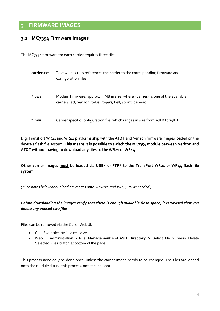## <span id="page-3-0"></span>**3 FIRMWARE IMAGES**

#### <span id="page-3-1"></span>**3.1 MC7354 Firmware Images**

The MC7354 firmware for each carrier requires three files:

| carrier.txt | Text which cross references the carrier to the corresponding firmware and<br>configuration files                                                         |
|-------------|----------------------------------------------------------------------------------------------------------------------------------------------------------|
| *.cwe       | Modem firmware, approx. 35MB in size, where <carrier> is one of the available<br/>carriers: att, verizon, telus, rogers, bell, sprint, generic</carrier> |
| $*$ .nvu    | Carrier specific configuration file, which ranges in size from 19KB to 74KB                                                                              |

Digi TransPort WR21 and WR44 platforms ship with the AT&T and Verizon firmware images loaded on the device's flash file system. **This means it is possible to switch the MC7354 module between Verizon and AT&T without having to download any files to the WR21 or WR44**.

**Other carrier images must be loaded via USB\* or FTP\* to the TransPort WR21 or WR44 flash file system**.

*(\*See notes below about loading images onto WR41v2 and WR44 RR as needed.)*

*Before downloading the images verify that there is enough available flash space, it is advised that you delete any unused cwe files*.

Files can be removed via the CLI or WebUI.

- CLI: Example: del att.cwe
- WebUI: Administration **File Management > FLASH Directory >** Select file > press Delete Selected Files button at bottom of the page.

This process need only be done once, unless the carrier image needs to be changed. The files are loaded onto the module during this process, not at each boot.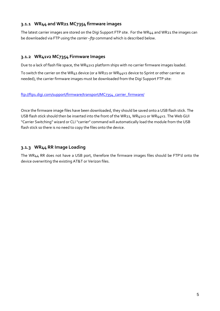#### <span id="page-4-0"></span>**3.1.1 WR44 and WR21 MC7354 firmware images**

The latest carrier images are stored on the Digi Support FTP site. For the WR44 and WR21 the images can be downloaded via FTP using the *carrier –ftp* command which is described below.

#### <span id="page-4-1"></span>**3.1.2 WR41v2 MC7354 Firmware Images**

Due to a lack of flash file space, the WR41v2 platform ships with no carrier firmware images loaded.

To switch the carrier on the WR41 device (or a WR21 or WR44v2 device to Sprint or other carrier as needed), the carrier firmware images must be downloaded from the Digi Support FTP site:

#### [ftp://ftp1.digi.com/support/firmware/transport/MC7354\\_carrier\\_firmware/](ftp://ftp1.digi.com/support/firmware/transport/MC7354_carrier_firmware/)

Once the firmware image files have been downloaded, they should be saved onto a USB flash stick. The USB flash stick should then be inserted into the front of the WR21, WR41v2 or WR44v2. The Web GUI "Carrier Switching" wizard or CLI "carrier" command will automatically load the module from the USB flash stick so there is no need to copy the files onto the device.

#### <span id="page-4-2"></span>**3.1.3 WR44 RR Image Loading**

The WR44 RR does not have a USB port, therefore the firmware images files should be FTP'd onto the device overwriting the existing AT&T or Verizon files.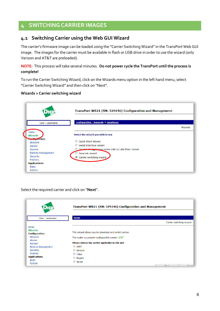## <span id="page-5-0"></span>**4 SWITCHING CARRIER IMAGES**

### <span id="page-5-1"></span>**4.1 Switching Carrier using the Web GUI Wizard**

The carrier's firmware image can be loaded using the "Carrier Switching Wizard" in the TransPort Web GUI image. The images for the carrier must be available in flash or USB drive in order to use the wizard (only Verizon and AT&T are preloaded).

#### **NOTE**: This process will take several minutes. **Do not power cycle the TransPort until the process is complete!**

To run the Carrier Switching Wizard, click on the Wizards menu option in the left hand menu, select "Carrier Switching Wizard" and then click on "Next".

#### **Wizards > Carrier switching wizard**



#### Select the required carrier and click on "**Next**".

|                                        | TransPort WR21 (SN: 329146) Configuration and Management |                            |  |
|----------------------------------------|----------------------------------------------------------|----------------------------|--|
| User: username                         | Home                                                     | Carrier switching wizard   |  |
| Home                                   |                                                          |                            |  |
| <b>Wizards</b><br><b>Configuration</b> | This wizard allows you to download and switch carrier.   |                            |  |
| Network<br><b>Alarms</b>               | The router is currently configured to carrier: AT&T      |                            |  |
| System                                 | Please choose the carrier applicable to this unit        |                            |  |
| Remote Management                      | $\circ$ AT&T                                             |                            |  |
| Security                               | ◯ Verizon                                                |                            |  |
| Position                               | <b>Telus</b>                                             |                            |  |
| <b>Applications</b>                    | C Rogers                                                 |                            |  |
| <b>Basic</b>                           | Sprint                                                   |                            |  |
| Python                                 |                                                          | Mov <sub>t</sub><br>Cancel |  |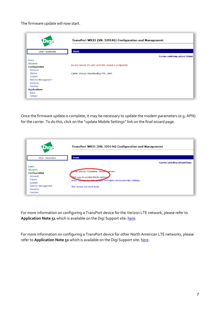The firmware update will now start.

|                                        | TransPort WR21 (SN: 329146) Configuration and Management |                                        |  |
|----------------------------------------|----------------------------------------------------------|----------------------------------------|--|
| User: username                         | Home                                                     | <b>Carrier switching wizard Status</b> |  |
| Home                                   |                                                          |                                        |  |
| <b>Wizards</b><br><b>Configuration</b> | Do not reboot the unit until this wizard is completed.   |                                        |  |
| Network                                |                                                          |                                        |  |
| Alarms                                 | Carrier status: Downloading FW26%                        |                                        |  |
| System                                 |                                                          |                                        |  |
| Remote Management                      |                                                          |                                        |  |
| Security                               |                                                          |                                        |  |
| Position                               |                                                          |                                        |  |
| <b>Applications</b>                    |                                                          |                                        |  |
| <b>Basic</b>                           |                                                          |                                        |  |
| Python                                 |                                                          |                                        |  |

Once the firmware update is complete, it may be necessary to update the modem parameters (e.g. APN) for the carrier. To do this, click on the "update Mobile Settings" link on the final wizard page.

| <b>LATE</b> TY           | TransPort WR21 (SN: 329146) Configuration and Management           |  |
|--------------------------|--------------------------------------------------------------------|--|
| User: username           | <b>Home</b>                                                        |  |
|                          | <b>Carrier switching wizard Done</b>                               |  |
| Home                     |                                                                    |  |
| Wizards                  | <b>Arier status: Complete. Carrier, verizon</b>                    |  |
| <b>Configuration</b>     |                                                                    |  |
| <b>Network</b>           | Click here to update Mobile settings                               |  |
| Alarms                   | Note: You may need to update the Mobile service provider settings. |  |
| System                   |                                                                    |  |
| <b>Remote Management</b> | The modem will reset itself.                                       |  |
| Security                 |                                                                    |  |
| Position                 |                                                                    |  |

For more information on configuring a TransPort device for the Verizon LTE network, please refer to Application Note 51 which is available on the Digi Support site: [here.](http://ftp1.digi.com/support/documentation/AN_051_VZW_LTE_Transport.pdf)

For more information on configuring a TransPort device for other North American LTE networks, please refer to **Application Note 52** which is available on the Digi Support site: [here.](http://ftp1.digi.com/support/documentation/AN_052_North_American_LTE_Transport.pdf)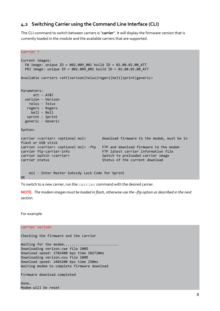#### <span id="page-7-0"></span>**4.2 Switching Carrier using the Command Line Interface (CLI)**

The CLI command to switch between carriers is "**carrier**". It will display the firmware version that is currently loaded in the module and the available carriers that are supported.

```
Carrier ?
Current images:
   FW image: unique ID = 002.009_001 build ID = 02.08.02.00_ATT
   PRI image: unique ID = 002.009_001 build ID = 02.08.02.00_ATT
Available carriers <att|verizon|telus|rogers|bell|sprint|generic>
Parameters:
        att - AT&T
   verizon - Verizon
     telus - Telus
    rogers - Rogers
      bell - Bell
    sprint - Sprint
   generic - Generic
Syntax:
carrier <carrier> <optional msl> Download firmware to the modem, must be in
flash or USB stick
carrier <carrier> <optional msl> -ftp FTP and download firmware to the modem
carrier ftp-carrier-info FTP latest carrier information file
carrier switch <carrier>
Switch to preloaded carrier image<br>
Status of the current download
status of the current download
status
of the current download
status
of the current
status
of the current
complexion of the current
                                                Status of the current download
     msl - Enter Master Subsidy Lock Code for Sprint
OK
```
To switch to a new carrier, run the carrier command with the desired carrier.

**NOTE**: *The modem images must be loaded in flash, otherwise use the –ftp option as described in the next section*.

For example:

#### carrier verizon

Checking the firmware and the carrier

Waiting for the modem........... Downloading verizon.cwe file 100% Download speed: 2702400 bps time 102720ms Downloading verizon.nvu file 100% Download speed: 2403200 bps time 250ms Waiting modem to complete firmware download

Firmware download completed

Done. Modem will be reset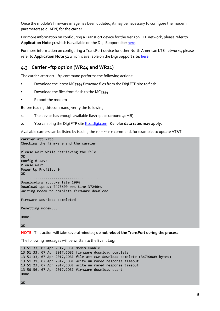Once the module's firmware image has been updated, it may be necessary to configure the modem parameters (e.g. APN) for the carrier.

For more information on configuring a TransPort device for the Verizon LTE network, please refer to **Application Note 51** which is available on the Digi Support site: [here.](http://ftp1.digi.com/support/documentation/AN_051_VZW_LTE_Transport.pdf)

For more information on configuring a TransPort device for other North American LTE networks, please refer to **Application Note 52** which is available on the Digi Support site: [here.](http://ftp1.digi.com/support/documentation/AN_052_North_American_LTE_Transport.pdf)

## <span id="page-8-0"></span>**4.3 Carrier –ftp option (WR44 and WR21)**

The carrier <carrier> -ftp command performs the following actions:

- Download the latest MC7354 firmware files from the Digi FTP site to flash
- Download the files from flash to the MC7354
- Reboot the modem

Before issuing this command, verify the following:

- 1. The device has enough available flash space (around  $\mu$  oMB)
- 2. You can ping the Digi FTP site [ftp1.digi.com.](ftp://ftp1.digi.com/) **Cellular data rates may apply**.

Available carriers can be listed by issuing the carrier command, for example, to update AT&T:

**carrier att -ftp** Checking the firmware and the carrier Please wait while retrieving the file..... **OK** config 0 save Please wait... Power Up Profile: 0 **OK** ...................................... Downloading att.cwe file 100% Download speed: 7473600 bps time 37240ms Waiting modem to complete firmware download Firmware download completed

Resetting modem...

Done.

**OK** 

**NOTE**: This action will take several minutes; **do not reboot the TransPort during the process**.

The following messages will be written to the Event Log:

```
13:51:33, 07 Apr 2017,GOBI Modem enable
13:51:33, 07 Apr 2017,GOBI firmware download complete
13:51:33, 07 Apr 2017,GOBI file att.cwe download complete (34790809 bytes)
13:51:31, 07 Apr 2017,GOBI write unframed response timeout
13:51:23, 07 Apr 2017,GOBI write unframed response timeout
13:50:56, 07 Apr 2017,GOBI firmware download start
Done.
```